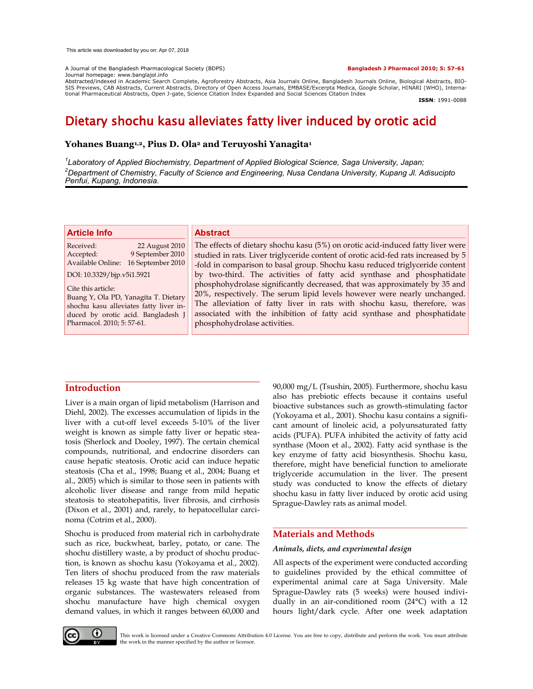#### A Journal of the Bangladesh Pharmacological Society (BDPS) **Bangladesh J Pharmacol 2010; 5: 57-61**

Journal homepage: www.banglajol.info

Abstracted/indexed in Academic Search Complete, Agroforestry Abstracts, Asia Journals Online, Bangladesh Journals Online, Biological Abstracts, BIO-<br>SIS Previews, CAB Abstracts, Current Abstracts, Directory of Open Access tional Pharmaceutical Abstracts, Open J-gate, Science Citation Index Expanded and Social Sciences Citation Index

**ISSN**: 1991-0088

# Dietary shochu kasu alleviates fatty liver induced by orotic acid

#### **Yohanes Buang1,2, Pius D. Ola<sup>2</sup> and Teruyoshi Yanagita<sup>1</sup>**

*1 Laboratory of Applied Biochemistry, Department of Applied Biological Science, Saga University, Japan; <sup>2</sup>Department of Chemistry, Faculty of Science and Engineering, Nusa Cendana University, Kupang Jl. Adisucipto Penfui, Kupang, Indonesia.*

#### **Article Info**

Received: 22 August 2010 Accepted: 9 September 2010 Available Online: 16 September 2010

DOI: 10.3329/bjp.v5i1.5921

Cite this article: Buang Y, Ola PD, Yanagita T. Dietary shochu kasu alleviates fatty liver induced by orotic acid. Bangladesh J Pharmacol. 2010; 5: 57-61.

#### **Abstract**

The effects of dietary shochu kasu (5%) on orotic acid-induced fatty liver were studied in rats. Liver triglyceride content of orotic acid-fed rats increased by 5 -fold in comparison to basal group. Shochu kasu reduced triglyceride content by two-third. The activities of fatty acid synthase and phosphatidate phosphohydrolase significantly decreased, that was approximately by 35 and 20%, respectively. The serum lipid levels however were nearly unchanged. The alleviation of fatty liver in rats with shochu kasu, therefore, was associated with the inhibition of fatty acid synthase and phosphatidate phosphohydrolase activities.

# **Introduction**

Liver is a main organ of lipid metabolism (Harrison and Diehl, 2002). The excesses accumulation of lipids in the liver with a cut-off level exceeds 5-10% of the liver weight is known as simple fatty liver or hepatic steatosis (Sherlock and Dooley, 1997). The certain chemical compounds, nutritional, and endocrine disorders can cause hepatic steatosis. Orotic acid can induce hepatic steatosis (Cha et al., 1998; Buang et al., 2004; Buang et al., 2005) which is similar to those seen in patients with alcoholic liver disease and range from mild hepatic steatosis to steatohepatitis, liver fibrosis, and cirrhosis (Dixon et al., 2001) and, rarely, to hepatocellular carcinoma (Cotrim et al., 2000).

Shochu is produced from material rich in carbohydrate such as rice, buckwheat, barley, potato, or cane. The shochu distillery waste, a by product of shochu production, is known as shochu kasu (Yokoyama et al., 2002). Ten liters of shochu produced from the raw materials releases 15 kg waste that have high concentration of organic substances. The wastewaters released from shochu manufacture have high chemical oxygen demand values, in which it ranges between 60,000 and

90,000 mg/L (Tsushin, 2005). Furthermore, shochu kasu also has prebiotic effects because it contains useful bioactive substances such as growth-stimulating factor (Yokoyama et al., 2001). Shochu kasu contains a significant amount of linoleic acid, a polyunsaturated fatty acids (PUFA). PUFA inhibited the activity of fatty acid synthase (Moon et al., 2002). Fatty acid synthase is the key enzyme of fatty acid biosynthesis. Shochu kasu, therefore, might have beneficial function to ameliorate triglyceride accumulation in the liver. The present study was conducted to know the effects of dietary shochu kasu in fatty liver induced by orotic acid using Sprague-Dawley rats as animal model.

### **Materials and Methods**

#### *Animals, diets, and experimental design*

All aspects of the experiment were conducted according to guidelines provided by the ethical committee of experimental animal care at Saga University. Male Sprague-Dawley rats (5 weeks) were housed individually in an air-conditioned room (24°C) with a 12 hours light/dark cycle. After one week adaptation



This work is licensed under a Creative Commons Attribution 4.0 License. You are free to copy, distribute and perform the work. You must attribute the work in the manner specified by the author or licensor.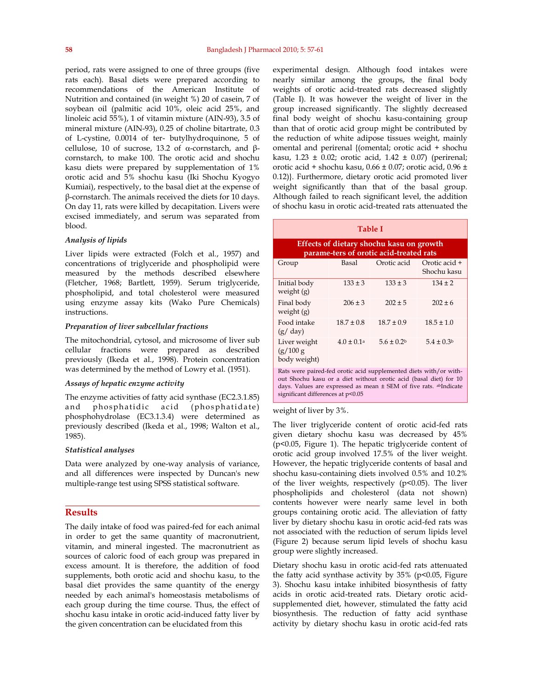period, rats were assigned to one of three groups (five rats each). Basal diets were prepared according to recommendations of the American Institute of Nutrition and contained (in weight %) 20 of casein, 7 of soybean oil (palmitic acid 10%, oleic acid 25%, and linoleic acid 55%), 1 of vitamin mixture (AIN-93), 3.5 of mineral mixture (AIN-93), 0.25 of choline bitartrate, 0.3 of L-cystine, 0.0014 of ter- butylhydroquinone, 5 of cellulose, 10 of sucrose, 13.2 of  $\alpha$ -cornstarch, and  $\beta$ cornstarch, to make 100. The orotic acid and shochu kasu diets were prepared by supplementation of 1% orotic acid and 5% shochu kasu (Iki Shochu Kyogyo Kumiai), respectively, to the basal diet at the expense of  $\beta$ -cornstarch. The animals received the diets for 10 days. On day 11, rats were killed by decapitation. Livers were excised immediately, and serum was separated from blood.

#### *Analysis of lipids*

Liver lipids were extracted (Folch et al., 1957) and concentrations of triglyceride and phospholipid were measured by the methods described elsewhere (Fletcher, 1968; Bartlett, 1959). Serum triglyceride, phospholipid, and total cholesterol were measured using enzyme assay kits (Wako Pure Chemicals) instructions.

#### *Preparation of liver subcellular fractions*

The mitochondrial, cytosol, and microsome of liver sub cellular fractions were prepared as described previously (Ikeda et al., 1998). Protein concentration was determined by the method of Lowry et al. (1951).

#### *Assays of hepatic enzyme activity*

The enzyme activities of fatty acid synthase (EC2.3.1.85) and phosphatidic acid (phosphatidate) phosphohydrolase (EC3.1.3.4) were determined as previously described (Ikeda et al., 1998; Walton et al., 1985).

#### *Statistical analyses*

Data were analyzed by one-way analysis of variance, and all differences were inspected by Duncan's new multiple-range test using SPSS statistical software.

#### **Results**

The daily intake of food was paired-fed for each animal in order to get the same quantity of macronutrient, vitamin, and mineral ingested. The macronutrient as sources of caloric food of each group was prepared in excess amount. It is therefore, the addition of food supplements, both orotic acid and shochu kasu, to the basal diet provides the same quantity of the energy needed by each animal's homeostasis metabolisms of each group during the time course. Thus, the effect of shochu kasu intake in orotic acid-induced fatty liver by the given concentration can be elucidated from this

experimental design. Although food intakes were nearly similar among the groups, the final body weights of orotic acid-treated rats decreased slightly (Table I). It was however the weight of liver in the group increased significantly. The slightly decreased final body weight of shochu kasu-containing group than that of orotic acid group might be contributed by the reduction of white adipose tissues weight, mainly omental and perirenal {(omental; orotic acid + shochu kasu,  $1.23 \pm 0.02$ ; orotic acid,  $1.42 \pm 0.07$ ) (perirenal; orotic acid + shochu kasu,  $0.66 \pm 0.07$ ; orotic acid,  $0.96 \pm$ 0.12)}. Furthermore, dietary orotic acid promoted liver weight significantly than that of the basal group. Although failed to reach significant level, the addition of shochu kasu in orotic acid-treated rats attenuated the

| <b>Table I</b>                                                                                                                                                                                                                                       |                            |                 |                              |
|------------------------------------------------------------------------------------------------------------------------------------------------------------------------------------------------------------------------------------------------------|----------------------------|-----------------|------------------------------|
| Effects of dietary shochu kasu on growth<br>parame-ters of orotic acid-treated rats                                                                                                                                                                  |                            |                 |                              |
| Group                                                                                                                                                                                                                                                | Basal                      | Orotic acid     | Orotic acid +<br>Shochu kasu |
| Initial body<br>weight $(g)$                                                                                                                                                                                                                         | $133 \pm 3$                | $133 \pm 3$     | $134 \pm 2$                  |
| Final body<br>weight $(g)$                                                                                                                                                                                                                           | $206 \pm 3$                | $202 \pm 5$     | $202 \pm 6$                  |
| Food intake<br>(g/day)                                                                                                                                                                                                                               | $18.7 \pm 0.8$             | $18.7 \pm 0.9$  | $18.5 \pm 1.0$               |
| Liver weight<br>(g/100 g)<br>body weight)                                                                                                                                                                                                            | $4.0 \pm 0.1$ <sup>a</sup> | $5.6 \pm 0.2^b$ | $5.4 \pm 0.3^{\rm b}$        |
| Rats were paired-fed orotic acid supplemented diets with/or with-<br>out Shochu kasu or a diet without orotic acid (basal diet) for 10<br>days. Values are expressed as mean $\pm$ SEM of five rats. abIndicate<br>significant differences at p<0.05 |                            |                 |                              |

#### weight of liver by 3%.

The liver triglyceride content of orotic acid-fed rats given dietary shochu kasu was decreased by 45% (p<0.05, Figure 1). The hepatic triglyceride content of orotic acid group involved 17.5% of the liver weight. However, the hepatic triglyceride contents of basal and shochu kasu-containing diets involved 0.5% and 10.2% of the liver weights, respectively (p<0.05). The liver phospholipids and cholesterol (data not shown) contents however were nearly same level in both groups containing orotic acid. The alleviation of fatty liver by dietary shochu kasu in orotic acid-fed rats was not associated with the reduction of serum lipids level (Figure 2) because serum lipid levels of shochu kasu group were slightly increased.

Dietary shochu kasu in orotic acid-fed rats attenuated the fatty acid synthase activity by 35% (p<0.05, Figure 3). Shochu kasu intake inhibited biosynthesis of fatty acids in orotic acid-treated rats. Dietary orotic acidsupplemented diet, however, stimulated the fatty acid biosynthesis. The reduction of fatty acid synthase activity by dietary shochu kasu in orotic acid-fed rats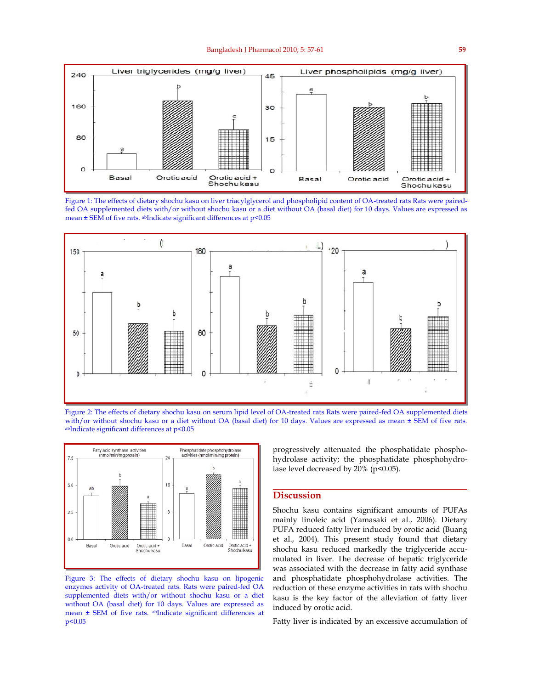

Figure 1: The effects of dietary shochu kasu on liver triacylglycerol and phospholipid content of OA-treated rats Rats were pairedfed OA supplemented diets with/or without shochu kasu or a diet without OA (basal diet) for 10 days. Values are expressed as mean ± SEM of five rats. abIndicate significant differences at p<0.05



Figure 2: The effects of dietary shochu kasu on serum lipid level of OA-treated rats Rats were paired-fed OA supplemented diets with/or without shochu kasu or a diet without OA (basal diet) for 10 days. Values are expressed as mean ± SEM of five rats. abIndicate significant differences at p<0.05



Figure 3: The effects of dietary shochu kasu on lipogenic enzymes activity of OA-treated rats. Rats were paired-fed OA supplemented diets with/or without shochu kasu or a diet without OA (basal diet) for 10 days. Values are expressed as mean ± SEM of five rats. abIndicate significant differences at p<0.05

progressively attenuated the phosphatidate phosphohydrolase activity; the phosphatidate phosphohydrolase level decreased by 20% (p<0.05).

#### **Discussion**

Shochu kasu contains significant amounts of PUFAs mainly linoleic acid (Yamasaki et al., 2006). Dietary PUFA reduced fatty liver induced by orotic acid (Buang et al., 2004). This present study found that dietary shochu kasu reduced markedly the triglyceride accumulated in liver. The decrease of hepatic triglyceride was associated with the decrease in fatty acid synthase and phosphatidate phosphohydrolase activities. The reduction of these enzyme activities in rats with shochu kasu is the key factor of the alleviation of fatty liver induced by orotic acid.

Fatty liver is indicated by an excessive accumulation of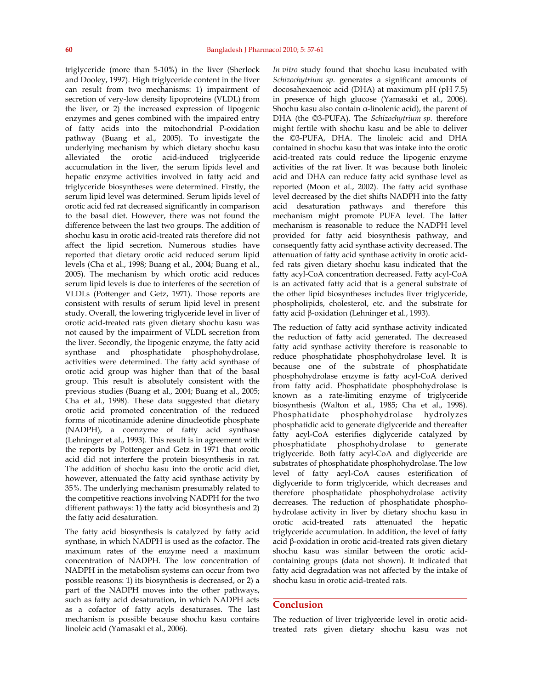triglyceride (more than 5-10%) in the liver (Sherlock and Dooley, 1997). High triglyceride content in the liver can result from two mechanisms: 1) impairment of secretion of very-low density lipoproteins (VLDL) from the liver, or 2) the increased expression of lipogenic enzymes and genes combined with the impaired entry of fatty acids into the mitochondrial P-oxidation pathway (Buang et al., 2005). To investigate the underlying mechanism by which dietary shochu kasu alleviated the orotic acid-induced triglyceride accumulation in the liver, the serum lipids level and hepatic enzyme activities involved in fatty acid and triglyceride biosyntheses were determined. Firstly, the serum lipid level was determined. Serum lipids level of orotic acid fed rat decreased significantly in comparison to the basal diet. However, there was not found the difference between the last two groups. The addition of shochu kasu in orotic acid-treated rats therefore did not affect the lipid secretion. Numerous studies have reported that dietary orotic acid reduced serum lipid levels (Cha et al., 1998; Buang et al., 2004; Buang et al., 2005). The mechanism by which orotic acid reduces serum lipid levels is due to interferes of the secretion of VLDLs (Pottenger and Getz, 1971). Those reports are consistent with results of serum lipid level in present study. Overall, the lowering triglyceride level in liver of orotic acid-treated rats given dietary shochu kasu was not caused by the impairment of VLDL secretion from the liver. Secondly, the lipogenic enzyme, the fatty acid synthase and phosphatidate phosphohydrolase, activities were determined. The fatty acid synthase of orotic acid group was higher than that of the basal group. This result is absolutely consistent with the previous studies (Buang et al., 2004; Buang et al., 2005; Cha et al., 1998). These data suggested that dietary orotic acid promoted concentration of the reduced forms of nicotinamide adenine dinucleotide phosphate (NADPH), a coenzyme of fatty acid synthase (Lehninger et al., 1993). This result is in agreement with the reports by Pottenger and Getz in 1971 that orotic acid did not interfere the protein biosynthesis in rat. The addition of shochu kasu into the orotic acid diet, however, attenuated the fatty acid synthase activity by 35%. The underlying mechanism presumably related to the competitive reactions involving NADPH for the two different pathways: 1) the fatty acid biosynthesis and 2) the fatty acid desaturation.

The fatty acid biosynthesis is catalyzed by fatty acid synthase, in which NADPH is used as the cofactor. The maximum rates of the enzyme need a maximum concentration of NADPH. The low concentration of NADPH in the metabolism systems can occur from two possible reasons: 1) its biosynthesis is decreased, or 2) a part of the NADPH moves into the other pathways, such as fatty acid desaturation, in which NADPH acts as a cofactor of fatty acyls desaturases. The last mechanism is possible because shochu kasu contains linoleic acid (Yamasaki et al., 2006).

*In vitro* study found that shochu kasu incubated with *Schizochytrium sp.* generates a significant amounts of docosahexaenoic acid (DHA) at maximum pH (pH 7.5) in presence of high glucose (Yamasaki et al., 2006). Shochu kasu also contain  $\alpha$ -linolenic acid), the parent of DHA (the ©3-PUFA). The *Schizochytrium sp.* therefore might fertile with shochu kasu and be able to deliver the ©3-PUFA, DHA. The linoleic acid and DHA contained in shochu kasu that was intake into the orotic acid-treated rats could reduce the lipogenic enzyme activities of the rat liver. It was because both linoleic acid and DHA can reduce fatty acid synthase level as reported (Moon et al., 2002). The fatty acid synthase level decreased by the diet shifts NADPH into the fatty acid desaturation pathways and therefore this mechanism might promote PUFA level. The latter mechanism is reasonable to reduce the NADPH level provided for fatty acid biosynthesis pathway, and consequently fatty acid synthase activity decreased. The attenuation of fatty acid synthase activity in orotic acidfed rats given dietary shochu kasu indicated that the fatty acyl-CoA concentration decreased. Fatty acyl-CoA is an activated fatty acid that is a general substrate of the other lipid biosyntheses includes liver triglyceride, phospholipids, cholesterol, etc. and the substrate for fatty acid  $\beta$ -oxidation (Lehninger et al., 1993).

The reduction of fatty acid synthase activity indicated the reduction of fatty acid generated. The decreased fatty acid synthase activity therefore is reasonable to reduce phosphatidate phosphohydrolase level. It is because one of the substrate of phosphatidate phosphohydrolase enzyme is fatty acyl-CoA derived from fatty acid. Phosphatidate phosphohydrolase is known as a rate-limiting enzyme of triglyceride biosynthesis (Walton et al., 1985; Cha et al., 1998). Phosphatidate phosphohydrolase hydrolyzes phosphatidic acid to generate diglyceride and thereafter fatty acyl-CoA esterifies diglyceride catalyzed by phosphatidate phosphohydrolase to generate triglyceride. Both fatty acyl-CoA and diglyceride are substrates of phosphatidate phosphohydrolase. The low level of fatty acyl-CoA causes esterification of diglyceride to form triglyceride, which decreases and therefore phosphatidate phosphohydrolase activity decreases. The reduction of phosphatidate phosphohydrolase activity in liver by dietary shochu kasu in orotic acid-treated rats attenuated the hepatic triglyceride accumulation. In addition, the level of fatty acid  $\beta$ -oxidation in orotic acid-treated rats given dietary shochu kasu was similar between the orotic acidcontaining groups (data not shown). It indicated that fatty acid degradation was not affected by the intake of shochu kasu in orotic acid-treated rats.

# **Conclusion**

The reduction of liver triglyceride level in orotic acidtreated rats given dietary shochu kasu was not